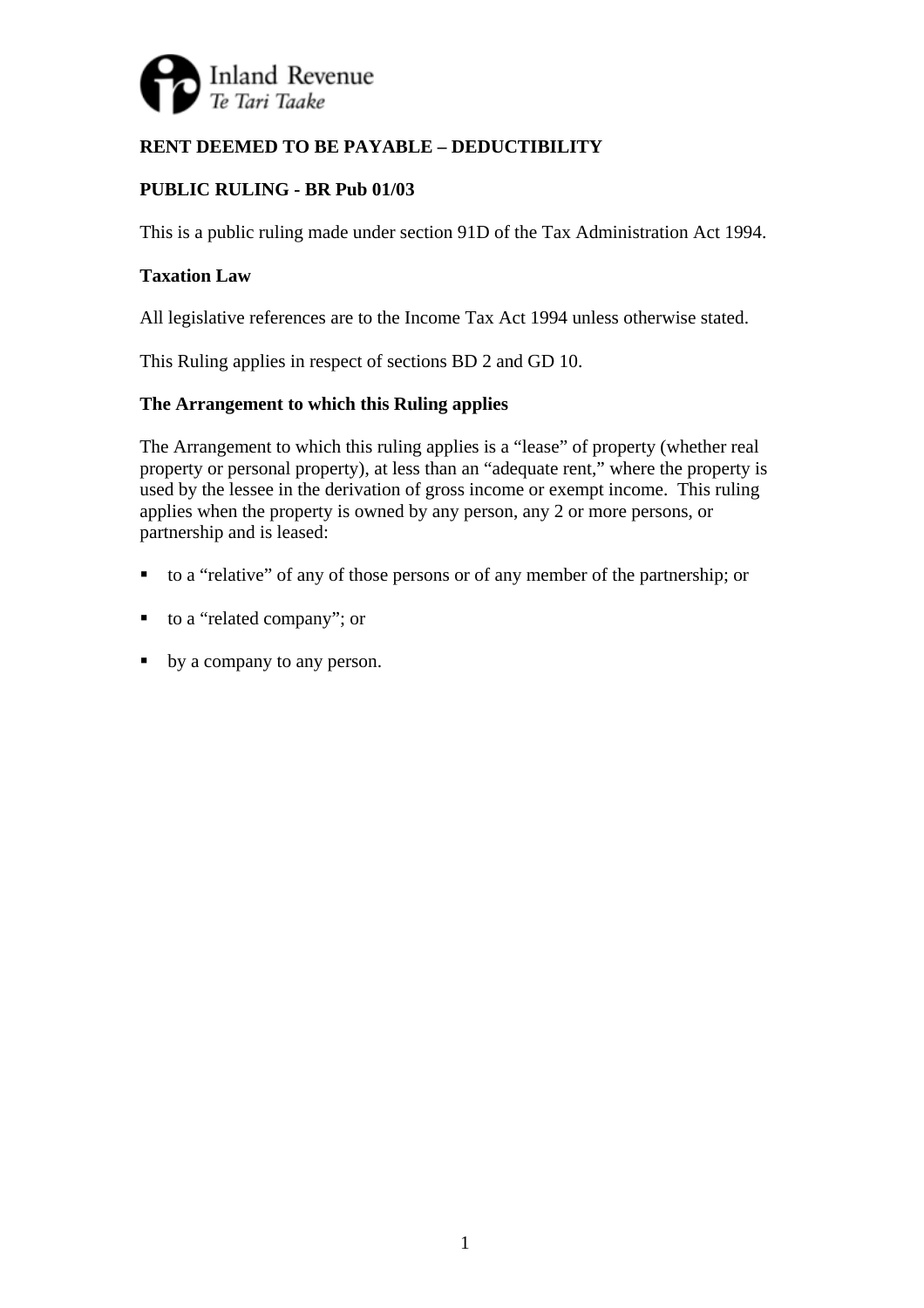

# **RENT DEEMED TO BE PAYABLE – DEDUCTIBILITY**

# **PUBLIC RULING - BR Pub 01/03**

This is a public ruling made under section 91D of the Tax Administration Act 1994.

## **Taxation Law**

All legislative references are to the Income Tax Act 1994 unless otherwise stated.

This Ruling applies in respect of sections BD 2 and GD 10.

# **The Arrangement to which this Ruling applies**

The Arrangement to which this ruling applies is a "lease" of property (whether real property or personal property), at less than an "adequate rent," where the property is used by the lessee in the derivation of gross income or exempt income. This ruling applies when the property is owned by any person, any 2 or more persons, or partnership and is leased:

- to a "relative" of any of those persons or of any member of the partnership; or
- to a "related company"; or
- by a company to any person.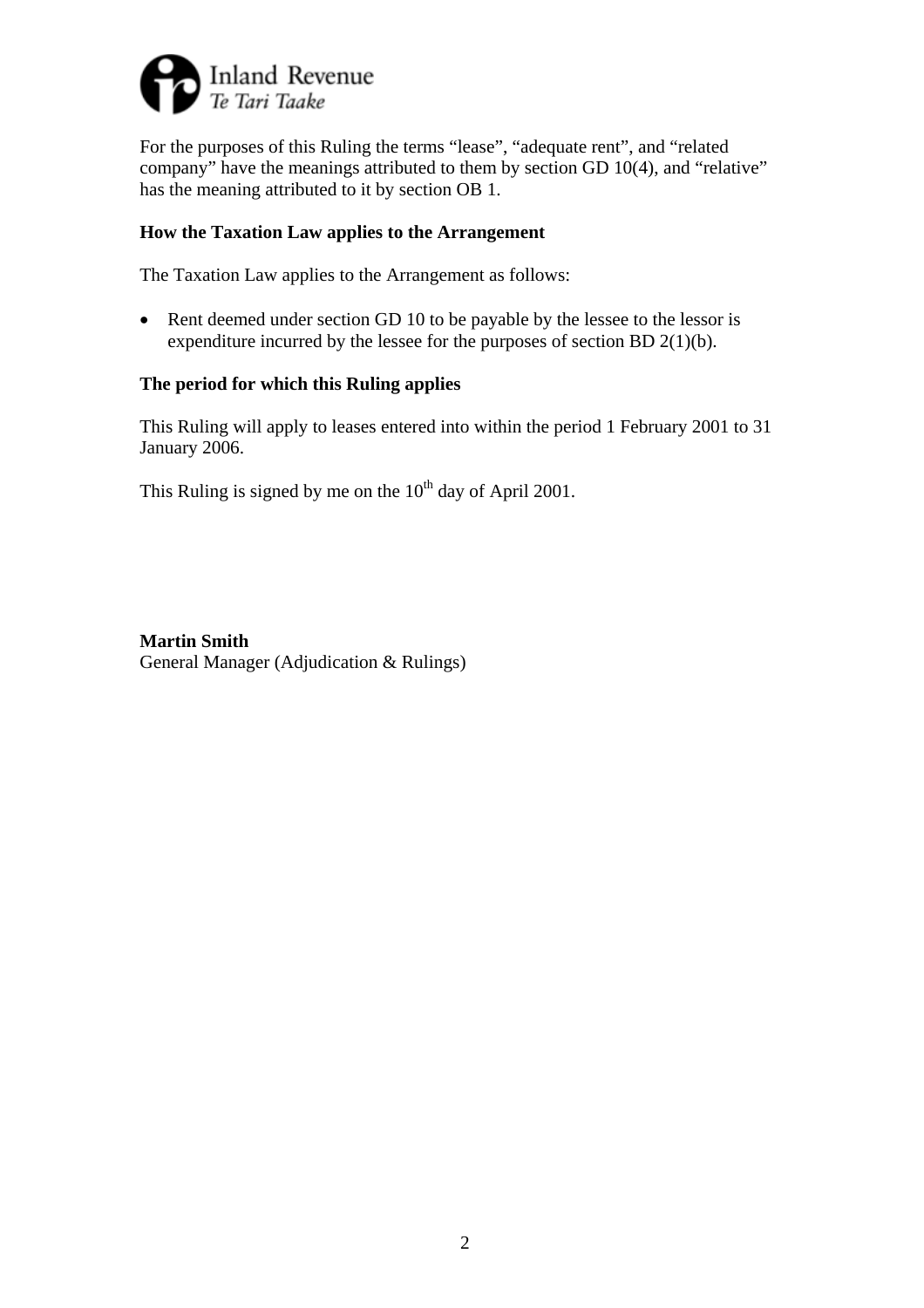

For the purposes of this Ruling the terms "lease", "adequate rent", and "related company" have the meanings attributed to them by section GD 10(4), and "relative" has the meaning attributed to it by section OB 1.

### **How the Taxation Law applies to the Arrangement**

The Taxation Law applies to the Arrangement as follows:

• Rent deemed under section GD 10 to be payable by the lessee to the lessor is expenditure incurred by the lessee for the purposes of section BD 2(1)(b).

### **The period for which this Ruling applies**

This Ruling will apply to leases entered into within the period 1 February 2001 to 31 January 2006.

This Ruling is signed by me on the  $10^{th}$  day of April 2001.

**Martin Smith**  General Manager (Adjudication & Rulings)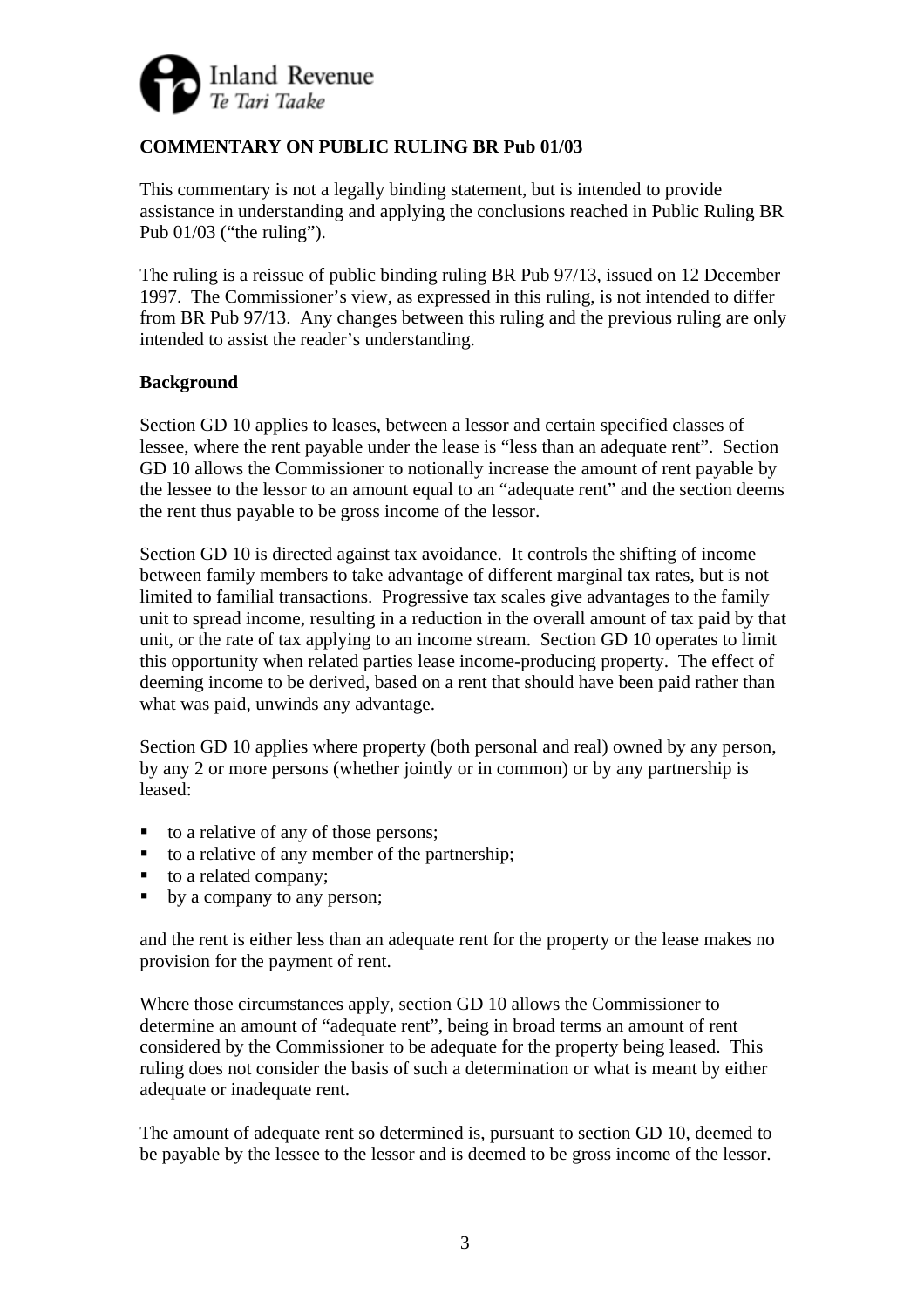

# **COMMENTARY ON PUBLIC RULING BR Pub 01/03**

This commentary is not a legally binding statement, but is intended to provide assistance in understanding and applying the conclusions reached in Public Ruling BR Pub 01/03 ("the ruling").

The ruling is a reissue of public binding ruling BR Pub 97/13, issued on 12 December 1997. The Commissioner's view, as expressed in this ruling, is not intended to differ from BR Pub 97/13. Any changes between this ruling and the previous ruling are only intended to assist the reader's understanding.

## **Background**

Section GD 10 applies to leases, between a lessor and certain specified classes of lessee, where the rent payable under the lease is "less than an adequate rent". Section GD 10 allows the Commissioner to notionally increase the amount of rent payable by the lessee to the lessor to an amount equal to an "adequate rent" and the section deems the rent thus payable to be gross income of the lessor.

Section GD 10 is directed against tax avoidance. It controls the shifting of income between family members to take advantage of different marginal tax rates, but is not limited to familial transactions. Progressive tax scales give advantages to the family unit to spread income, resulting in a reduction in the overall amount of tax paid by that unit, or the rate of tax applying to an income stream. Section GD 10 operates to limit this opportunity when related parties lease income-producing property. The effect of deeming income to be derived, based on a rent that should have been paid rather than what was paid, unwinds any advantage.

Section GD 10 applies where property (both personal and real) owned by any person, by any 2 or more persons (whether jointly or in common) or by any partnership is leased:

- to a relative of any of those persons;
- $\blacksquare$  to a relative of any member of the partnership;
- to a related company;
- by a company to any person;

and the rent is either less than an adequate rent for the property or the lease makes no provision for the payment of rent.

Where those circumstances apply, section GD 10 allows the Commissioner to determine an amount of "adequate rent", being in broad terms an amount of rent considered by the Commissioner to be adequate for the property being leased. This ruling does not consider the basis of such a determination or what is meant by either adequate or inadequate rent.

The amount of adequate rent so determined is, pursuant to section GD 10, deemed to be payable by the lessee to the lessor and is deemed to be gross income of the lessor.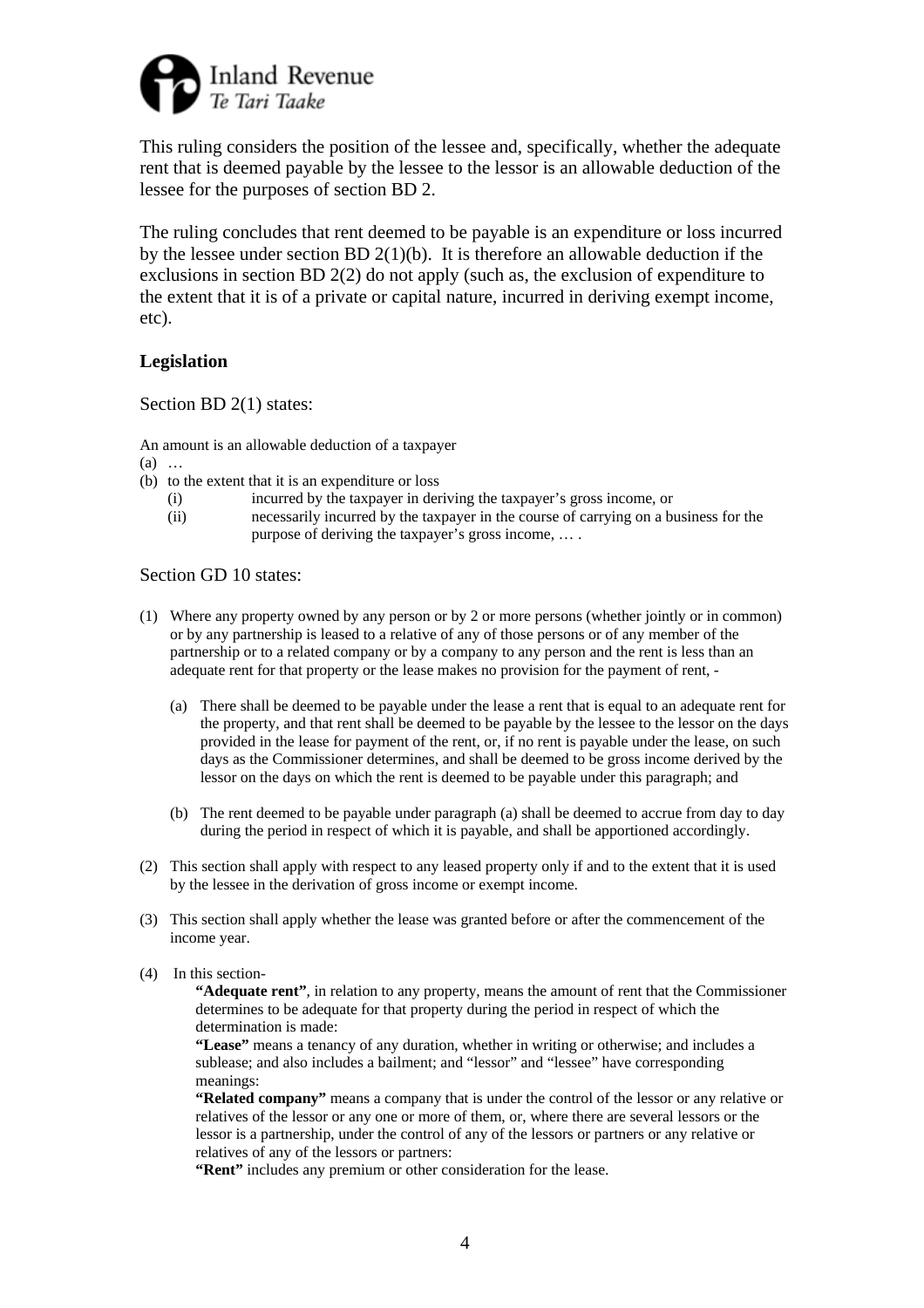

This ruling considers the position of the lessee and, specifically, whether the adequate rent that is deemed payable by the lessee to the lessor is an allowable deduction of the lessee for the purposes of section BD 2.

The ruling concludes that rent deemed to be payable is an expenditure or loss incurred by the lessee under section BD 2(1)(b). It is therefore an allowable deduction if the exclusions in section BD 2(2) do not apply (such as, the exclusion of expenditure to the extent that it is of a private or capital nature, incurred in deriving exempt income, etc).

#### **Legislation**

Section BD 2(1) states:

An amount is an allowable deduction of a taxpayer

- (a) …
- (b) to the extent that it is an expenditure or loss
	- (i) incurred by the taxpayer in deriving the taxpayer's gross income, or
	- (ii) necessarily incurred by the taxpayer in the course of carrying on a business for the purpose of deriving the taxpayer's gross income, … .

#### Section GD 10 states:

- (1) Where any property owned by any person or by 2 or more persons (whether jointly or in common) or by any partnership is leased to a relative of any of those persons or of any member of the partnership or to a related company or by a company to any person and the rent is less than an adequate rent for that property or the lease makes no provision for the payment of rent, -
	- (a) There shall be deemed to be payable under the lease a rent that is equal to an adequate rent for the property, and that rent shall be deemed to be payable by the lessee to the lessor on the days provided in the lease for payment of the rent, or, if no rent is payable under the lease, on such days as the Commissioner determines, and shall be deemed to be gross income derived by the lessor on the days on which the rent is deemed to be payable under this paragraph; and
	- (b) The rent deemed to be payable under paragraph (a) shall be deemed to accrue from day to day during the period in respect of which it is payable, and shall be apportioned accordingly.
- (2) This section shall apply with respect to any leased property only if and to the extent that it is used by the lessee in the derivation of gross income or exempt income.
- (3) This section shall apply whether the lease was granted before or after the commencement of the income year.
- (4) In this section-

**"Adequate rent"**, in relation to any property, means the amount of rent that the Commissioner determines to be adequate for that property during the period in respect of which the determination is made:

**"Lease"** means a tenancy of any duration, whether in writing or otherwise; and includes a sublease; and also includes a bailment; and "lessor" and "lessee" have corresponding meanings:

**"Related company"** means a company that is under the control of the lessor or any relative or relatives of the lessor or any one or more of them, or, where there are several lessors or the lessor is a partnership, under the control of any of the lessors or partners or any relative or relatives of any of the lessors or partners:

**"Rent"** includes any premium or other consideration for the lease.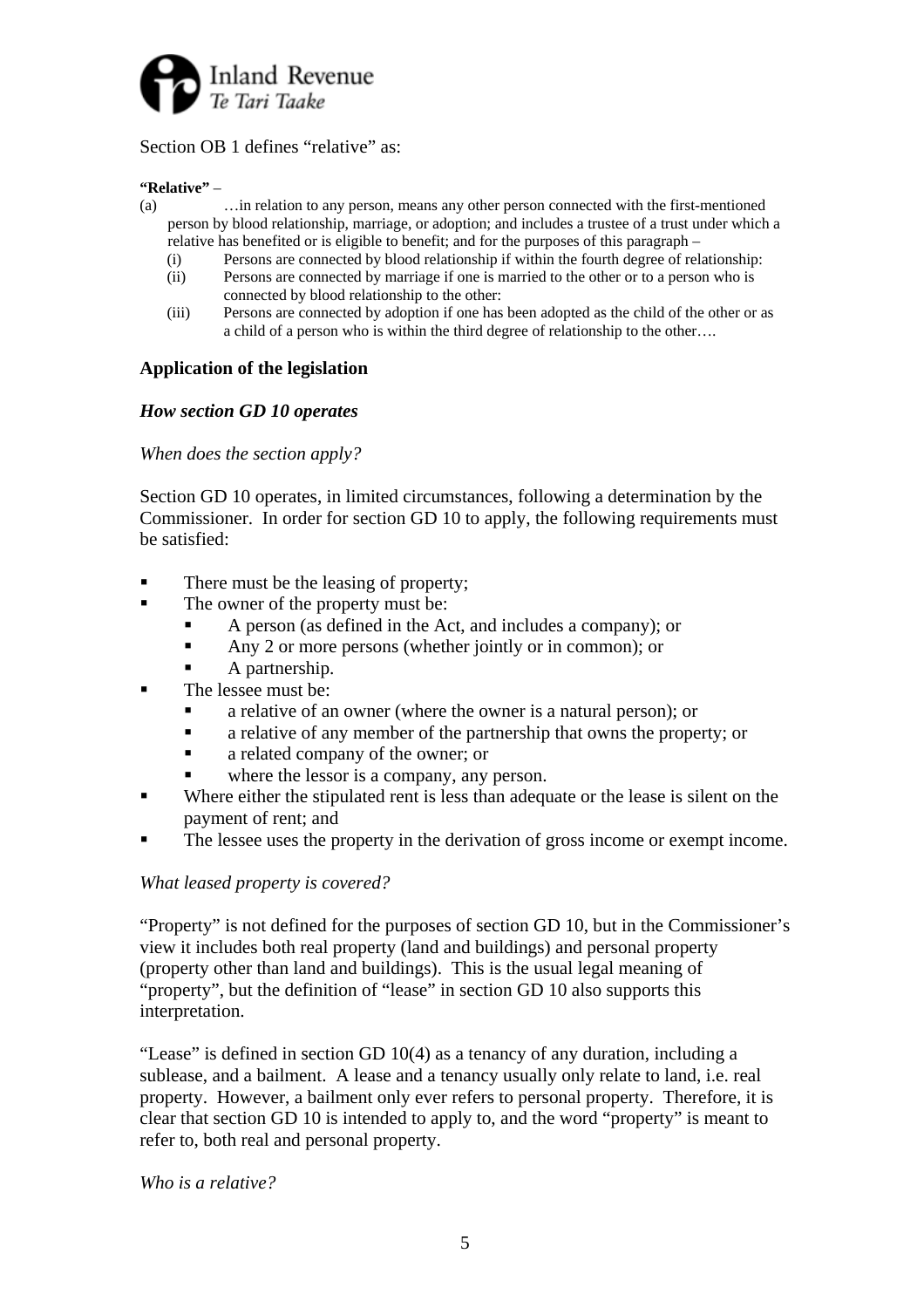

## Section OB 1 defines "relative" as:

#### **"Relative"** –

- (a) …in relation to any person, means any other person connected with the first-mentioned person by blood relationship, marriage, or adoption; and includes a trustee of a trust under which a relative has benefited or is eligible to benefit; and for the purposes of this paragraph –
	- (i) Persons are connected by blood relationship if within the fourth degree of relationship:
	- (ii) Persons are connected by marriage if one is married to the other or to a person who is connected by blood relationship to the other:
	- (iii) Persons are connected by adoption if one has been adopted as the child of the other or as a child of a person who is within the third degree of relationship to the other….

#### **Application of the legislation**

#### *How section GD 10 operates*

#### *When does the section apply?*

Section GD 10 operates, in limited circumstances, following a determination by the Commissioner. In order for section GD 10 to apply, the following requirements must be satisfied:

- There must be the leasing of property;
- The owner of the property must be:
	- A person (as defined in the Act, and includes a company); or
	- Any 2 or more persons (whether jointly or in common); or
	- A partnership.
- The lessee must be:
	- a relative of an owner (where the owner is a natural person); or
	- a relative of any member of the partnership that owns the property; or
	- a related company of the owner; or
	- where the lessor is a company, any person.
- Where either the stipulated rent is less than adequate or the lease is silent on the payment of rent; and
- The lessee uses the property in the derivation of gross income or exempt income.

#### *What leased property is covered?*

"Property" is not defined for the purposes of section GD 10, but in the Commissioner's view it includes both real property (land and buildings) and personal property (property other than land and buildings). This is the usual legal meaning of "property", but the definition of "lease" in section GD 10 also supports this interpretation.

"Lease" is defined in section GD 10(4) as a tenancy of any duration, including a sublease, and a bailment. A lease and a tenancy usually only relate to land, i.e. real property. However, a bailment only ever refers to personal property. Therefore, it is clear that section GD 10 is intended to apply to, and the word "property" is meant to refer to, both real and personal property.

*Who is a relative?*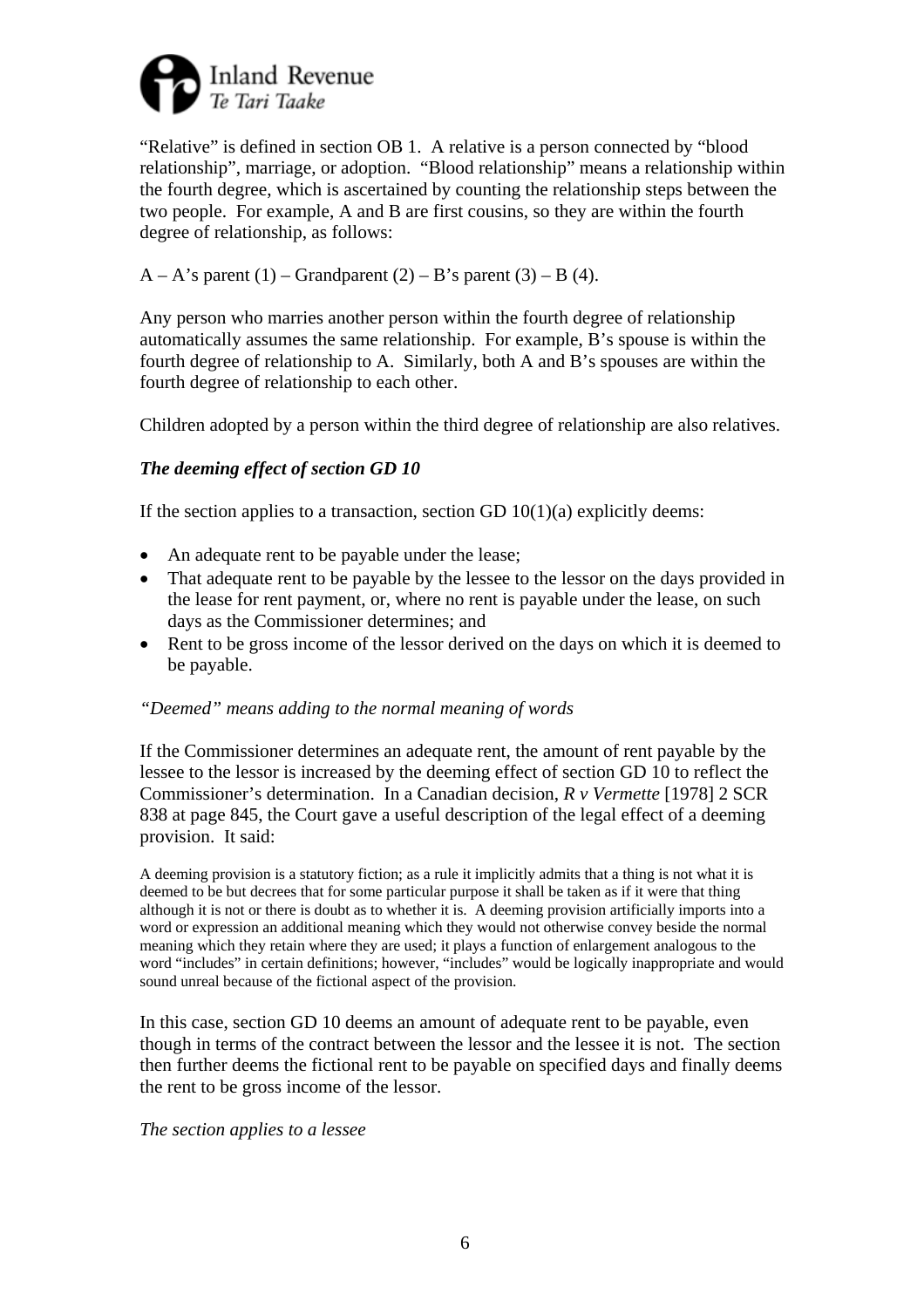

"Relative" is defined in section OB 1. A relative is a person connected by "blood relationship", marriage, or adoption. "Blood relationship" means a relationship within the fourth degree, which is ascertained by counting the relationship steps between the two people. For example, A and B are first cousins, so they are within the fourth degree of relationship, as follows:

## $A - A$ 's parent (1) – Grandparent (2) – B's parent (3) – B (4).

Any person who marries another person within the fourth degree of relationship automatically assumes the same relationship. For example, B's spouse is within the fourth degree of relationship to A. Similarly, both A and B's spouses are within the fourth degree of relationship to each other.

Children adopted by a person within the third degree of relationship are also relatives.

# *The deeming effect of section GD 10*

If the section applies to a transaction, section GD  $10(1)(a)$  explicitly deems:

- An adequate rent to be payable under the lease;
- That adequate rent to be payable by the lessee to the lessor on the days provided in the lease for rent payment, or, where no rent is payable under the lease, on such days as the Commissioner determines; and
- Rent to be gross income of the lessor derived on the days on which it is deemed to be payable.

### *"Deemed" means adding to the normal meaning of words*

If the Commissioner determines an adequate rent, the amount of rent payable by the lessee to the lessor is increased by the deeming effect of section GD 10 to reflect the Commissioner's determination. In a Canadian decision, *R v Vermette* [1978] 2 SCR 838 at page 845, the Court gave a useful description of the legal effect of a deeming provision. It said:

A deeming provision is a statutory fiction; as a rule it implicitly admits that a thing is not what it is deemed to be but decrees that for some particular purpose it shall be taken as if it were that thing although it is not or there is doubt as to whether it is. A deeming provision artificially imports into a word or expression an additional meaning which they would not otherwise convey beside the normal meaning which they retain where they are used; it plays a function of enlargement analogous to the word "includes" in certain definitions; however, "includes" would be logically inappropriate and would sound unreal because of the fictional aspect of the provision.

In this case, section GD 10 deems an amount of adequate rent to be payable, even though in terms of the contract between the lessor and the lessee it is not. The section then further deems the fictional rent to be payable on specified days and finally deems the rent to be gross income of the lessor.

#### *The section applies to a lessee*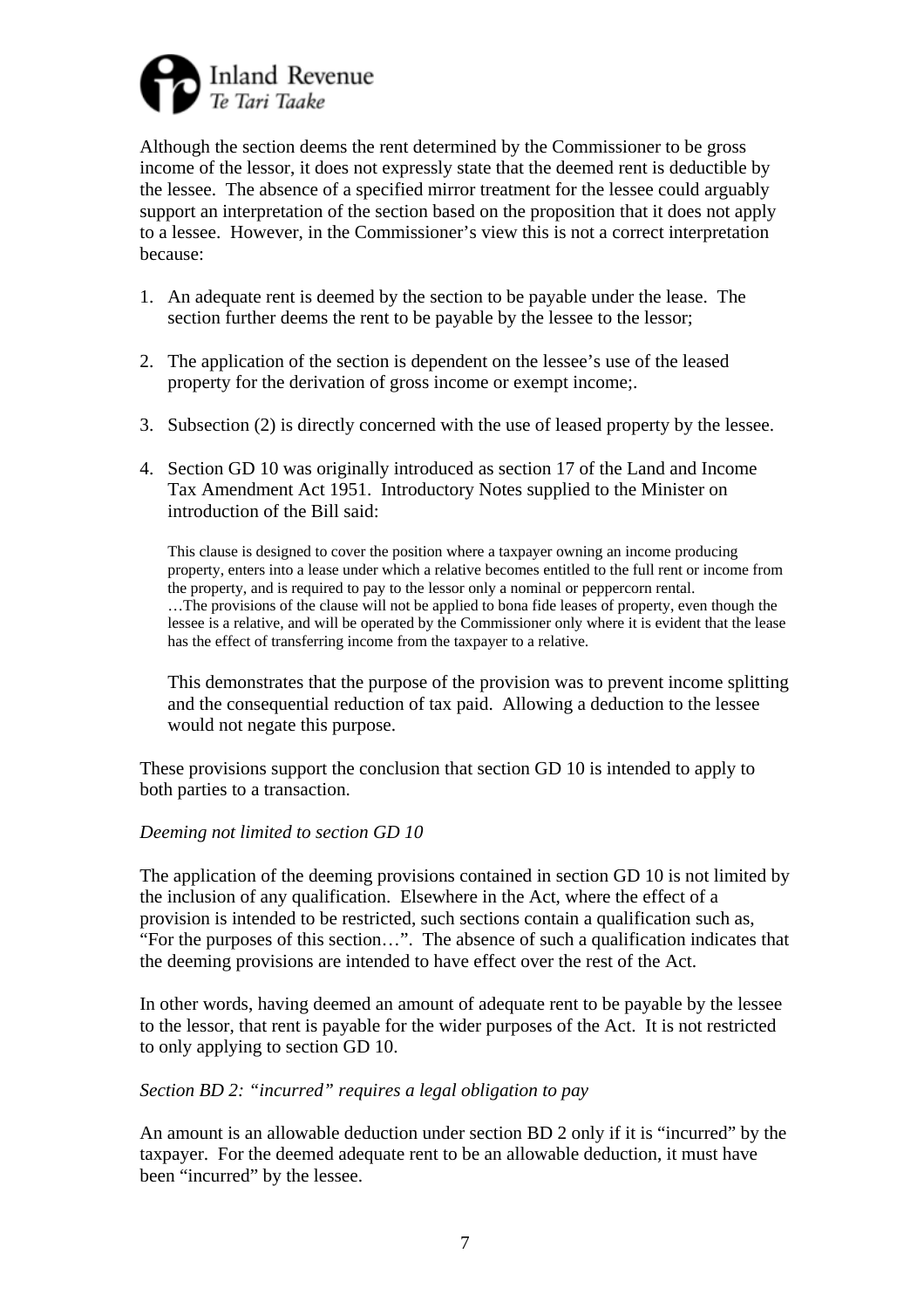

Although the section deems the rent determined by the Commissioner to be gross income of the lessor, it does not expressly state that the deemed rent is deductible by the lessee. The absence of a specified mirror treatment for the lessee could arguably support an interpretation of the section based on the proposition that it does not apply to a lessee. However, in the Commissioner's view this is not a correct interpretation because:

- 1. An adequate rent is deemed by the section to be payable under the lease. The section further deems the rent to be payable by the lessee to the lessor;
- 2. The application of the section is dependent on the lessee's use of the leased property for the derivation of gross income or exempt income;.
- 3. Subsection (2) is directly concerned with the use of leased property by the lessee.
- 4. Section GD 10 was originally introduced as section 17 of the Land and Income Tax Amendment Act 1951. Introductory Notes supplied to the Minister on introduction of the Bill said:

This clause is designed to cover the position where a taxpayer owning an income producing property, enters into a lease under which a relative becomes entitled to the full rent or income from the property, and is required to pay to the lessor only a nominal or peppercorn rental. …The provisions of the clause will not be applied to bona fide leases of property, even though the lessee is a relative, and will be operated by the Commissioner only where it is evident that the lease has the effect of transferring income from the taxpayer to a relative.

This demonstrates that the purpose of the provision was to prevent income splitting and the consequential reduction of tax paid. Allowing a deduction to the lessee would not negate this purpose.

These provisions support the conclusion that section GD 10 is intended to apply to both parties to a transaction.

#### *Deeming not limited to section GD 10*

The application of the deeming provisions contained in section GD 10 is not limited by the inclusion of any qualification. Elsewhere in the Act, where the effect of a provision is intended to be restricted, such sections contain a qualification such as, "For the purposes of this section…". The absence of such a qualification indicates that the deeming provisions are intended to have effect over the rest of the Act.

In other words, having deemed an amount of adequate rent to be payable by the lessee to the lessor, that rent is payable for the wider purposes of the Act. It is not restricted to only applying to section GD 10.

#### *Section BD 2: "incurred" requires a legal obligation to pay*

An amount is an allowable deduction under section BD 2 only if it is "incurred" by the taxpayer. For the deemed adequate rent to be an allowable deduction, it must have been "incurred" by the lessee.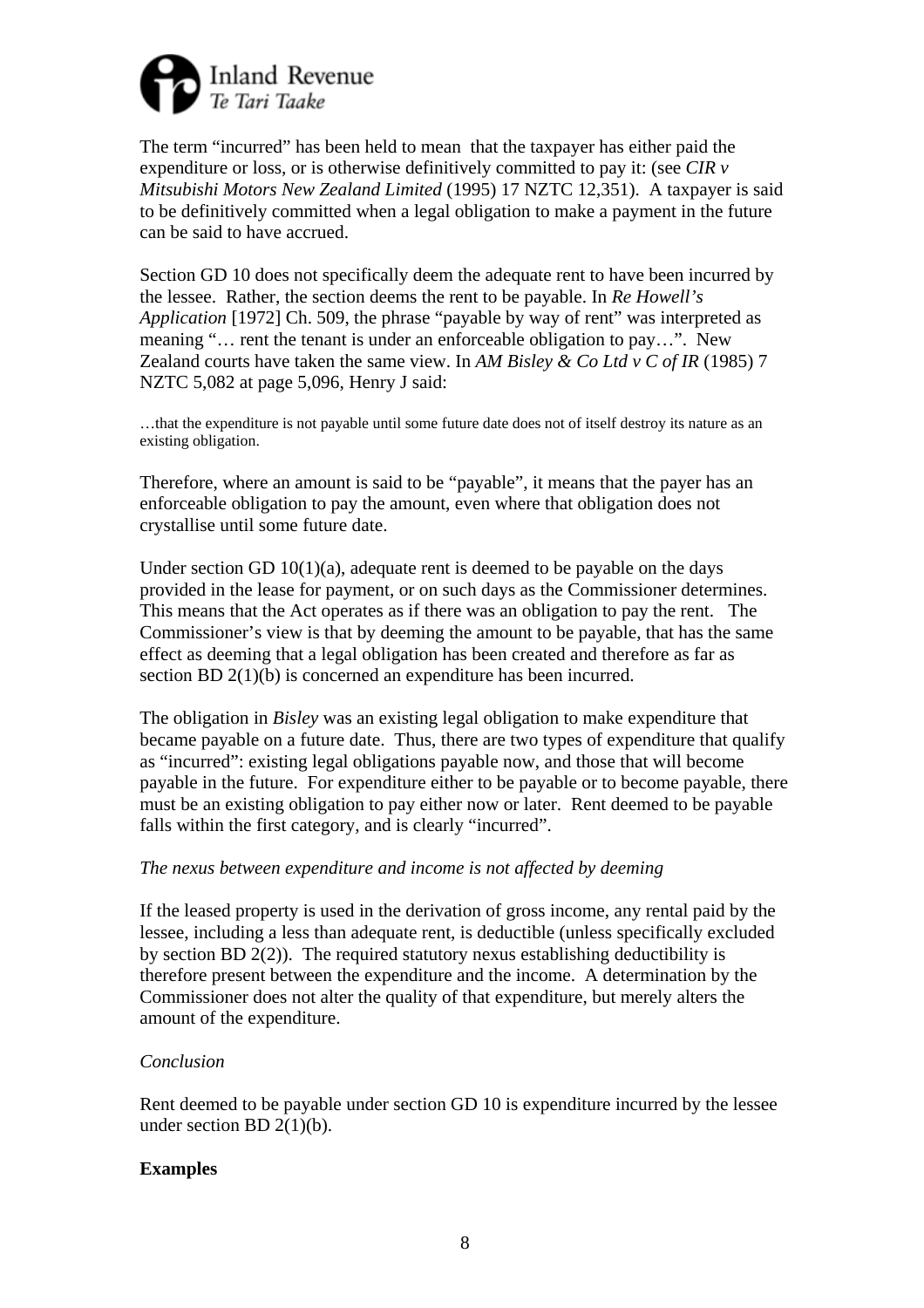

The term "incurred" has been held to mean that the taxpayer has either paid the expenditure or loss, or is otherwise definitively committed to pay it: (see *CIR v Mitsubishi Motors New Zealand Limited* (1995) 17 NZTC 12,351). A taxpayer is said to be definitively committed when a legal obligation to make a payment in the future can be said to have accrued.

Section GD 10 does not specifically deem the adequate rent to have been incurred by the lessee. Rather, the section deems the rent to be payable. In *Re Howell's Application* [1972] Ch. 509, the phrase "payable by way of rent" was interpreted as meaning "… rent the tenant is under an enforceable obligation to pay…". New Zealand courts have taken the same view. In *AM Bisley & Co Ltd v C of IR* (1985) 7 NZTC 5,082 at page 5,096, Henry J said:

…that the expenditure is not payable until some future date does not of itself destroy its nature as an existing obligation.

Therefore, where an amount is said to be "payable", it means that the payer has an enforceable obligation to pay the amount, even where that obligation does not crystallise until some future date.

Under section GD  $10(1)(a)$ , adequate rent is deemed to be payable on the days provided in the lease for payment, or on such days as the Commissioner determines. This means that the Act operates as if there was an obligation to pay the rent. The Commissioner's view is that by deeming the amount to be payable, that has the same effect as deeming that a legal obligation has been created and therefore as far as section BD 2(1)(b) is concerned an expenditure has been incurred.

The obligation in *Bisley* was an existing legal obligation to make expenditure that became payable on a future date. Thus, there are two types of expenditure that qualify as "incurred": existing legal obligations payable now, and those that will become payable in the future. For expenditure either to be payable or to become payable, there must be an existing obligation to pay either now or later. Rent deemed to be payable falls within the first category, and is clearly "incurred".

### *The nexus between expenditure and income is not affected by deeming*

If the leased property is used in the derivation of gross income, any rental paid by the lessee, including a less than adequate rent, is deductible (unless specifically excluded by section BD 2(2)). The required statutory nexus establishing deductibility is therefore present between the expenditure and the income. A determination by the Commissioner does not alter the quality of that expenditure, but merely alters the amount of the expenditure.

### *Conclusion*

Rent deemed to be payable under section GD 10 is expenditure incurred by the lessee under section BD  $2(1)(b)$ .

### **Examples**